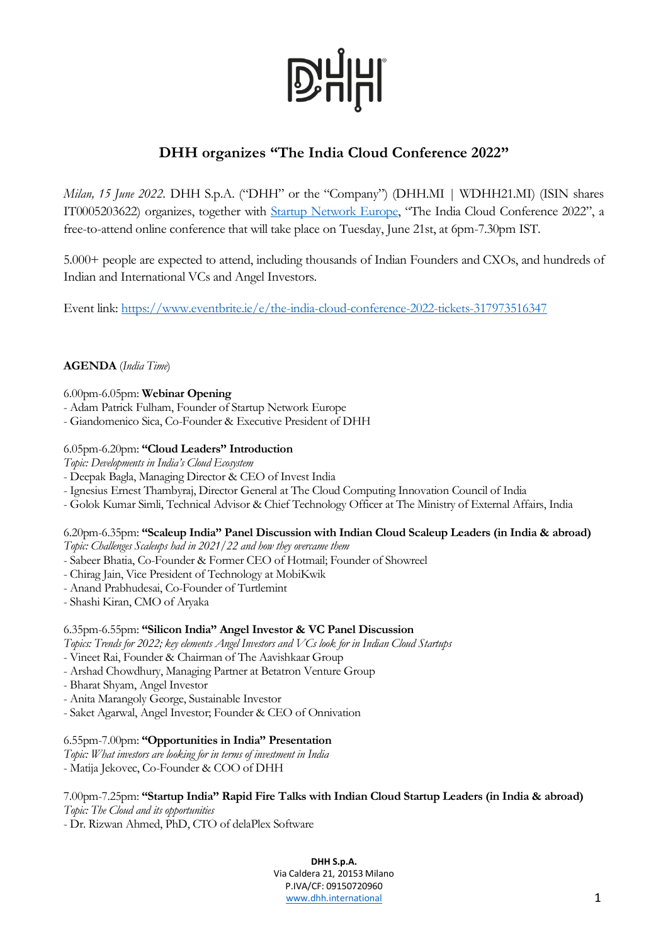

# **DHH organizes "The India Cloud Conference 2022"**

*Milan, 15 June 2022*. DHH S.p.A. ("DHH" or the "Company") (DHH.MI | WDHH21.MI) (ISIN shares IT0005203622) organizes, together with [Startup Network Europe,](https://startupnetwork.eu/) "The India Cloud Conference 2022", a free-to-attend online conference that will take place on Tuesday, June 21st, at 6pm-7.30pm IST.

5.000+ people are expected to attend, including thousands of Indian Founders and CXOs, and hundreds of Indian and International VCs and Angel Investors.

Event link:<https://www.eventbrite.ie/e/the-india-cloud-conference-2022-tickets-317973516347>

# **AGENDA** (*India Time*)

6.00pm-6.05pm: **Webinar Opening**

- Adam Patrick Fulham, Founder of Startup Network Europe
- Giandomenico Sica, Co-Founder & Executive President of DHH

### 6.05pm-6.20pm: **"Cloud Leaders" Introduction**

*Topic: Developments in India's Cloud Ecosystem*

- Deepak Bagla, Managing Director & CEO of Invest India
- Ignesius Ernest Thambyraj, Director General at The Cloud Computing Innovation Council of India
- Golok Kumar Simli, Technical Advisor & Chief Technology Officer at The Ministry of External Affairs, India

# 6.20pm-6.35pm: **"Scaleup India" Panel Discussion with Indian Cloud Scaleup Leaders (in India & abroad)**

*Topic: Challenges Scaleups had in 2021/22 and how they overcame them*

- Sabeer Bhatia, Co-Founder & Former CEO of Hotmail; Founder of Showreel
- Chirag Jain, Vice President of Technology at MobiKwik
- Anand Prabhudesai, Co-Founder of Turtlemint
- Shashi Kiran, CMO of Aryaka

#### 6.35pm-6.55pm: **"Silicon India" Angel Investor & VC Panel Discussion**

- *Topics: Trends for 2022; key elements Angel Investors and VCs look for in Indian Cloud Startups*
- Vineet Rai, Founder & Chairman of The Aavishkaar Group
- Arshad Chowdhury, Managing Partner at Betatron Venture Group
- Bharat Shyam, Angel Investor
- Anita Marangoly George, Sustainable Investor
- Saket Agarwal, Angel Investor; Founder & CEO of Onnivation

#### 6.55pm-7.00pm: **"Opportunities in India" Presentation**

*Topic: What investors are looking for in terms of investment in India* - Matija Jekovec, Co-Founder & COO of DHH

### 7.00pm-7.25pm: **"Startup India" Rapid Fire Talks with Indian Cloud Startup Leaders (in India & abroad)** *Topic: The Cloud and its opportunities*

- Dr. Rizwan Ahmed, PhD, CTO of delaPlex Software

**DHH S.p.A.** Via Caldera 21, 20153 Milano P.IVA/CF: 09150720960 [www.dhh.international](http://www.dominion.it/) 1